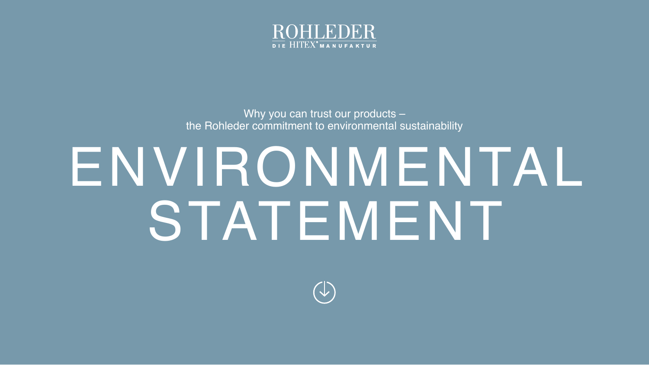

Why you can trust our products – the Rohleder commitment to environmental sustainability

# ENVIRONMENTAL STATEMENT

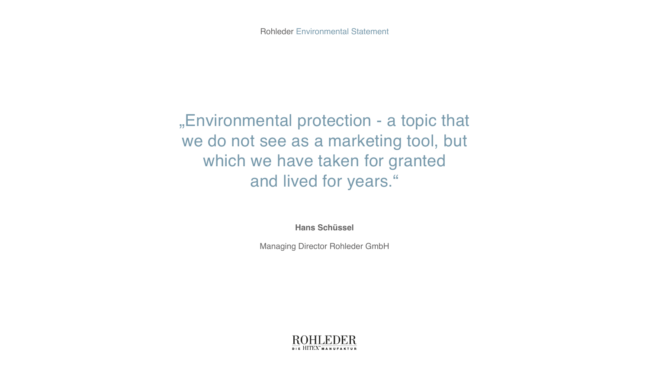"Environmental protection - a topic that we do not see as a marketing tool, but which we have taken for granted and lived for years."

**Hans Schüssel**

Managing Director Rohleder GmbH

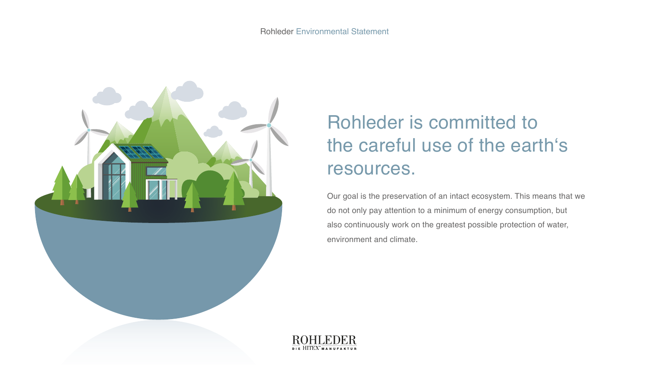

# Rohleder is committed to the careful use of the earth's resources.

Our goal is the preservation of an intact ecosystem. This means that we do not only pay attention to a minimum of energy consumption, but also continuously work on the greatest possible protection of water, environment and climate.

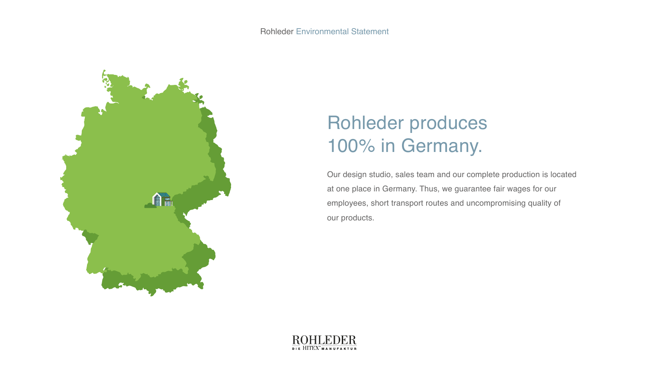

# Rohleder produces 100% in Germany.

Our design studio, sales team and our complete production is located at one place in Germany. Thus, we guarantee fair wages for our employees, short transport routes and uncompromising quality of our products.

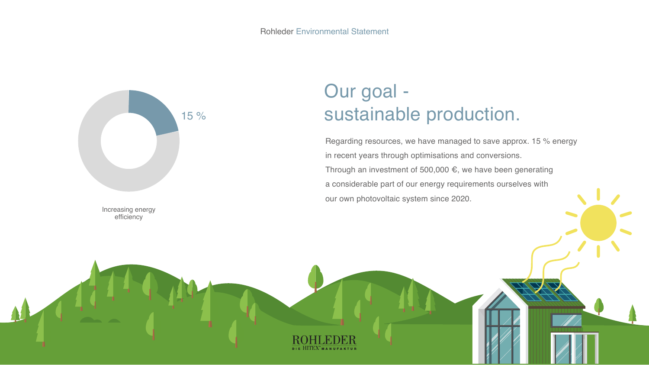

Increasing energy efficiency

## Our goal sustainable production.

Regarding resources, we have managed to save approx. 15 % energy in recent years through optimisations and conversions. Through an investment of 500,000 €, we have been generating a considerable part of our energy requirements ourselves with our own photovoltaic system since 2020.

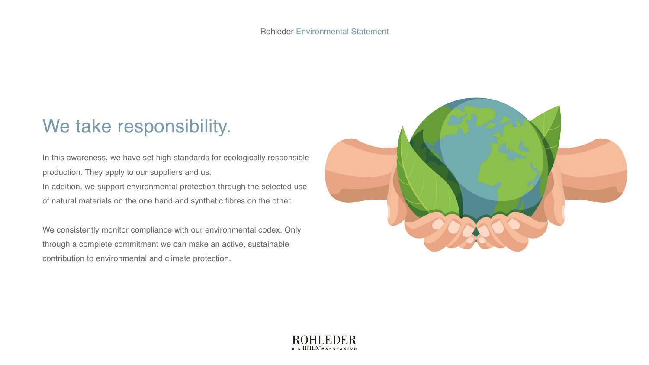#### We take responsibility.

In this awareness, we have set high standards for ecologically responsible production. They apply to our suppliers and us. In addition, we support environmental protection through the selected use of natural materials on the one hand and synthetic fibres on the other.

We consistently monitor compliance with our environmental codex. Only through a complete commitment we can make an active, sustainable contribution to environmental and climate protection.



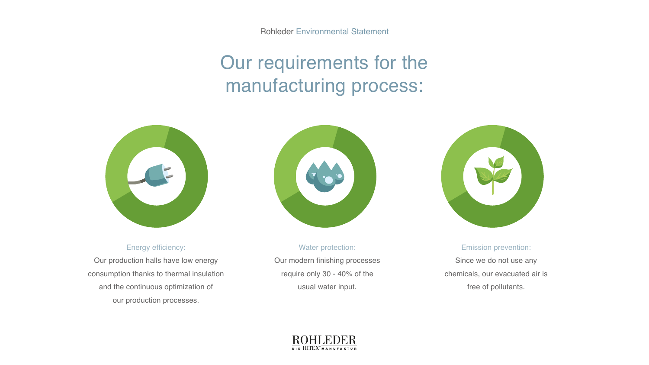Rohleder Environmental Statement

# Our requirements for the manufacturing process:



Energy efficiency:

Our production halls have low energy consumption thanks to thermal insulation and the continuous optimization of our production processes.



Water protection: Our modern finishing processes require only 30 - 40% of the usual water input.



Emission prevention:

Since we do not use any chemicals, our evacuated air is free of pollutants.

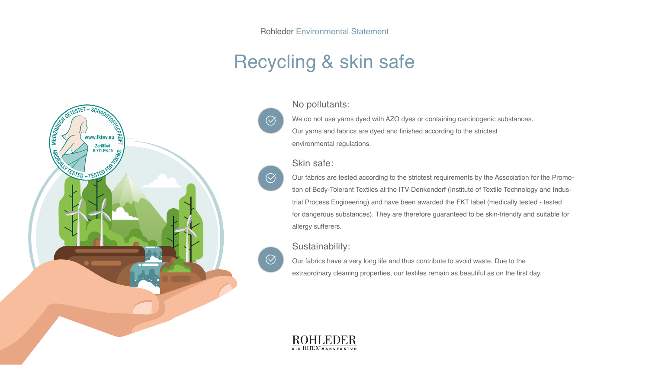### Recycling & skin safe



No pollutants:

We do not use yarns dyed with AZO dyes or containing carcinogenic substances. Our yarns and fabrics are dyed and finished according to the strictest environmental regulations.

#### Skin safe:

Our fabrics are tested according to the strictest requirements by the Association for the Promotion of Body-Tolerant Textiles at the ITV Denkendorf (Institute of Textile Technology and Industrial Process Engineering) and have been awarded the FKT label (medically tested - tested for dangerous substances). They are therefore guaranteed to be skin-friendly and suitable for allergy sufferers.

Sustainability:

Our fabrics have a very long life and thus contribute to avoid waste. Due to the extraordinary cleaning properties, our textiles remain as beautiful as on the first day.